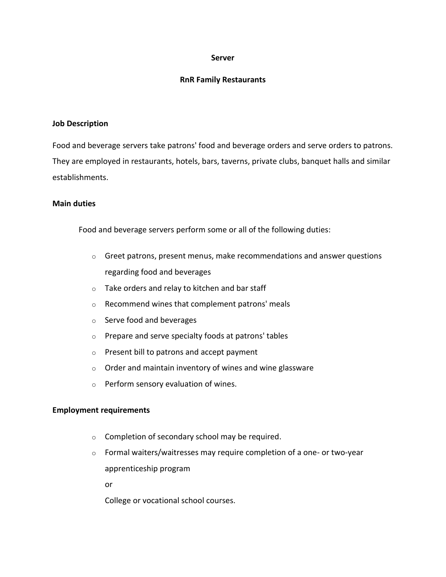# **Server**

# **RnR Family Restaurants**

#### **Job Description**

Food and beverage servers take patrons' food and beverage orders and serve orders to patrons. They are employed in restaurants, hotels, bars, taverns, private clubs, banquet halls and similar establishments.

### **Main duties**

Food and beverage servers perform some or all of the following duties:

- $\circ$  Greet patrons, present menus, make recommendations and answer questions regarding food and beverages
- o Take orders and relay to kitchen and bar staff
- o Recommend wines that complement patrons' meals
- o Serve food and beverages
- o Prepare and serve specialty foods at patrons' tables
- o Present bill to patrons and accept payment
- $\circ$  Order and maintain inventory of wines and wine glassware
- o Perform sensory evaluation of wines.

# **Employment requirements**

- o Completion of secondary school may be required.
- o Formal waiters/waitresses may require completion of a one- or two-year apprenticeship program

or

College or vocational school courses.